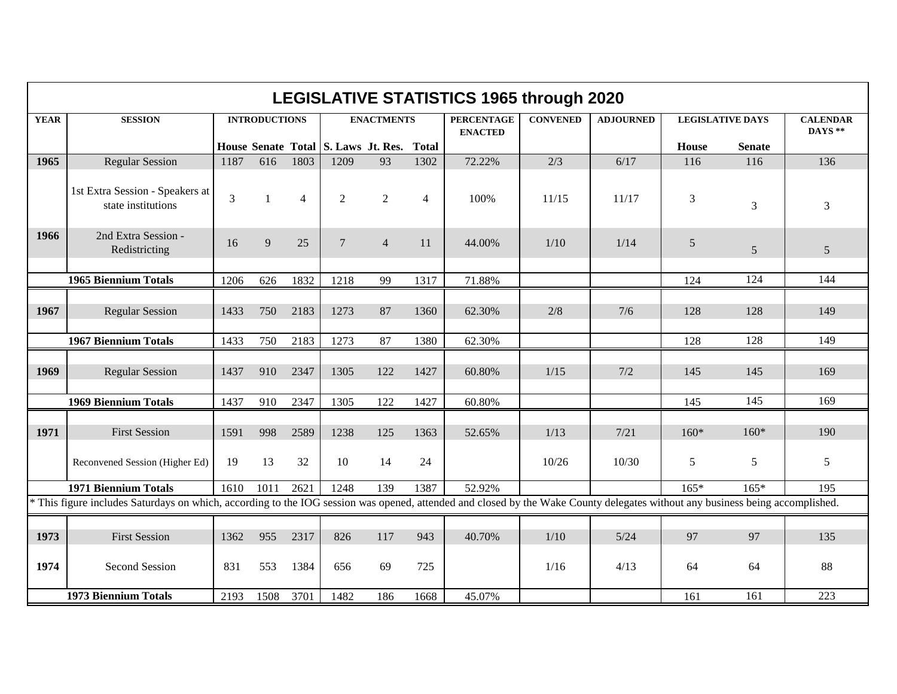|             | <b>LEGISLATIVE STATISTICS 1965 through 2020</b><br><b>SESSION</b><br><b>CONVENED</b><br><b>ADJOURNED</b><br><b>CALENDAR</b><br><b>INTRODUCTIONS</b><br><b>ENACTMENTS</b><br><b>PERCENTAGE</b><br><b>LEGISLATIVE DAYS</b> |      |              |                |                                           |                |                |                |       |       |        |               |         |  |
|-------------|--------------------------------------------------------------------------------------------------------------------------------------------------------------------------------------------------------------------------|------|--------------|----------------|-------------------------------------------|----------------|----------------|----------------|-------|-------|--------|---------------|---------|--|
| <b>YEAR</b> |                                                                                                                                                                                                                          |      |              |                |                                           |                |                |                |       |       |        |               |         |  |
|             |                                                                                                                                                                                                                          |      |              |                | House Senate Total S. Laws Jt. Res. Total |                |                | <b>ENACTED</b> |       |       | House  | <b>Senate</b> | DAYS ** |  |
| 1965        | <b>Regular Session</b>                                                                                                                                                                                                   | 1187 | 616          | 1803           | 1209                                      | 93             | 1302           | 72.22%         | 2/3   | 6/17  | 116    | 116           | 136     |  |
|             |                                                                                                                                                                                                                          |      |              |                |                                           |                |                |                |       |       |        |               |         |  |
|             | 1st Extra Session - Speakers at<br>state institutions                                                                                                                                                                    | 3    | $\mathbf{1}$ | $\overline{4}$ | $\overline{2}$                            | 2              | $\overline{4}$ | 100%           | 11/15 | 11/17 | 3      | 3             | 3       |  |
| 1966        | 2nd Extra Session -<br>Redistricting                                                                                                                                                                                     | 16   | 9            | 25             | $\overline{7}$                            | $\overline{4}$ | 11             | 44.00%         | 1/10  | 1/14  | 5      | 5             | 5       |  |
|             | <b>1965 Biennium Totals</b>                                                                                                                                                                                              | 1206 | 626          | 1832           | 1218                                      | 99             | 1317           | 71.88%         |       |       | 124    | 124           | 144     |  |
|             |                                                                                                                                                                                                                          |      |              |                |                                           |                |                |                |       |       |        |               |         |  |
| 1967        | <b>Regular Session</b>                                                                                                                                                                                                   | 1433 | 750          | 2183           | 1273                                      | 87             | 1360           | 62.30%         | 2/8   | 7/6   | 128    | 128           | 149     |  |
|             | <b>1967 Biennium Totals</b>                                                                                                                                                                                              | 1433 | 750          | 2183           | 1273                                      | 87             | 1380           | 62.30%         |       |       | 128    | 128           | 149     |  |
| 1969        | <b>Regular Session</b>                                                                                                                                                                                                   | 1437 | 910          | 2347           | 1305                                      | 122            | 1427           | 60.80%         | 1/15  | 7/2   | 145    | 145           | 169     |  |
|             | <b>1969 Biennium Totals</b>                                                                                                                                                                                              | 1437 | 910          | 2347           | 1305                                      | 122            | 1427           | 60.80%         |       |       | 145    | 145           | 169     |  |
| 1971        | <b>First Session</b>                                                                                                                                                                                                     | 1591 | 998          | 2589           | 1238                                      | 125            | 1363           | 52.65%         | 1/13  | 7/21  | $160*$ | $160*$        | 190     |  |
|             | Reconvened Session (Higher Ed)                                                                                                                                                                                           | 19   | 13           | 32             | 10                                        | 14             | 24             |                | 10/26 | 10/30 | 5      | 5             | 5       |  |
|             | <b>1971 Biennium Totals</b>                                                                                                                                                                                              | 1610 | 1011         | 2621           | 1248                                      | 139            | 1387           | 52.92%         |       |       | $165*$ | $165*$        | 195     |  |
|             | * This figure includes Saturdays on which, according to the IOG session was opened, attended and closed by the Wake County delegates without any business being accomplished.                                            |      |              |                |                                           |                |                |                |       |       |        |               |         |  |
|             |                                                                                                                                                                                                                          |      |              |                |                                           |                |                |                |       |       |        |               |         |  |
| 1973        | <b>First Session</b>                                                                                                                                                                                                     | 1362 | 955          | 2317           | 826                                       | 117            | 943            | 40.70%         | 1/10  | 5/24  | 97     | 97            | 135     |  |
| 1974        | <b>Second Session</b>                                                                                                                                                                                                    | 831  | 553          | 1384           | 656                                       | 69             | 725            |                | 1/16  | 4/13  | 64     | 64            | 88      |  |
|             | <b>1973 Biennium Totals</b>                                                                                                                                                                                              | 2193 | 1508         | 3701           | 1482                                      | 186            | 1668           | 45.07%         |       |       | 161    | 161           | 223     |  |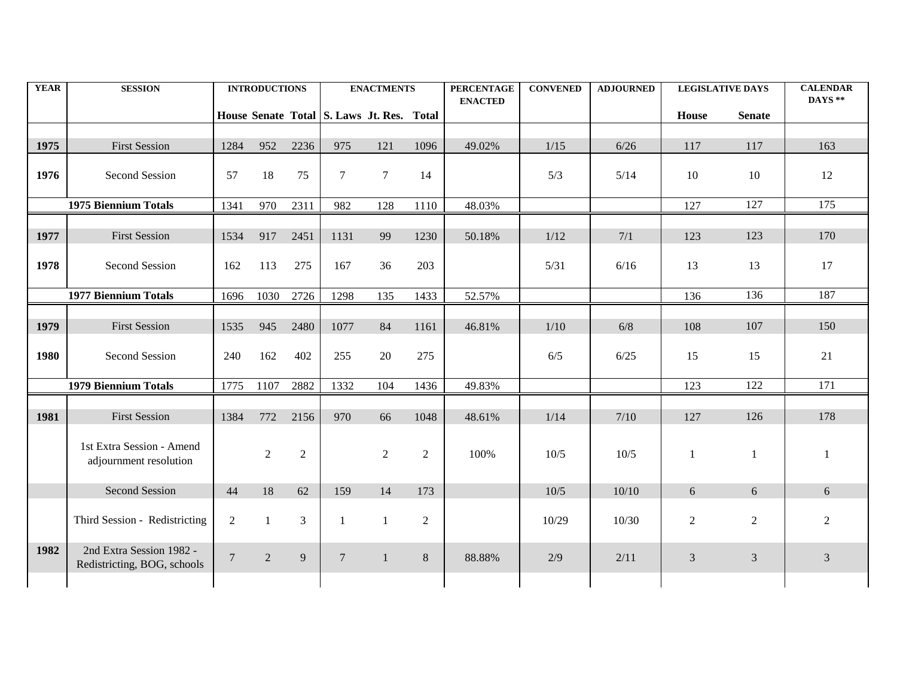| <b>YEAR</b> | <b>SESSION</b>                                          |                | <b>INTRODUCTIONS</b> |                |                                           | <b>ENACTMENTS</b> |                | <b>PERCENTAGE</b> | <b>CONVENED</b> | <b>ADJOURNED</b> | <b>LEGISLATIVE DAYS</b> |               | <b>CALENDAR</b><br>DAYS ** |
|-------------|---------------------------------------------------------|----------------|----------------------|----------------|-------------------------------------------|-------------------|----------------|-------------------|-----------------|------------------|-------------------------|---------------|----------------------------|
|             |                                                         |                |                      |                | House Senate Total S. Laws Jt. Res. Total |                   |                | <b>ENACTED</b>    |                 |                  | <b>House</b>            | <b>Senate</b> |                            |
|             |                                                         |                |                      |                |                                           |                   |                |                   |                 |                  |                         |               |                            |
| 1975        | <b>First Session</b>                                    | 1284           | 952                  | 2236           | 975                                       | 121               | 1096           | 49.02%            | 1/15            | $6/26$           | 117                     | 117           | 163                        |
| 1976        | Second Session                                          | 57             | 18                   | 75             | $\overline{7}$                            | $7\phantom{.0}$   | 14             |                   | 5/3             | 5/14             | 10                      | 10            | 12                         |
|             | <b>1975 Biennium Totals</b>                             | 1341           | 970                  | 2311           | 982                                       | 128               | 1110           | 48.03%            |                 |                  | 127                     | 127           | 175                        |
| 1977        | <b>First Session</b>                                    | 1534           | 917                  | 2451           | 1131                                      | 99                | 1230           | 50.18%            | 1/12            | 7/1              | 123                     | 123           | 170                        |
| 1978        | Second Session                                          | 162            | 113                  | 275            | 167                                       | 36                | 203            |                   | 5/31            | 6/16             | 13                      | 13            | 17                         |
|             | <b>1977 Biennium Totals</b>                             | 1696           | 1030                 | 2726           | 1298                                      | 135               | 1433           | 52.57%            |                 |                  | 136                     | 136           | 187                        |
|             |                                                         |                |                      |                |                                           |                   |                |                   |                 |                  |                         |               |                            |
| 1979        | <b>First Session</b>                                    | 1535           | 945                  | 2480           | 1077                                      | 84                | 1161           | 46.81%            | 1/10            | 6/8              | 108                     | 107           | 150                        |
| 1980        | Second Session                                          | 240            | 162                  | 402            | 255                                       | 20                | 275            |                   | 6/5             | 6/25             | 15                      | 15            | 21                         |
|             | <b>1979 Biennium Totals</b>                             | 1775           | 1107                 | 2882           | 1332                                      | 104               | 1436           | 49.83%            |                 |                  | 123                     | 122           | 171                        |
| 1981        | <b>First Session</b>                                    | 1384           | 772                  | 2156           | 970                                       | 66                | 1048           | 48.61%            | 1/14            | 7/10             | 127                     | 126           | 178                        |
|             | 1st Extra Session - Amend<br>adjournment resolution     |                | $\overline{2}$       | $\sqrt{2}$     |                                           | $\overline{2}$    | 2              | 100%              | $10/5$          | 10/5             | $\mathbf{1}$            | $\mathbf{1}$  |                            |
|             | <b>Second Session</b>                                   | 44             | 18                   | 62             | 159                                       | 14                | 173            |                   | 10/5            | 10/10            | 6                       | 6             | 6                          |
|             | Third Session - Redistricting                           | 2              | $\mathbf{1}$         | $\overline{3}$ | $\mathbf{1}$                              | $\mathbf{1}$      | $\overline{2}$ |                   | 10/29           | 10/30            | $\overline{2}$          | $\sqrt{2}$    | $\overline{2}$             |
| 1982        | 2nd Extra Session 1982 -<br>Redistricting, BOG, schools | $\overline{7}$ | 2                    | 9              | $\overline{7}$                            | $\mathbf{1}$      | 8              | 88.88%            | 2/9             | 2/11             | $\overline{3}$          | 3             | $\mathfrak{Z}$             |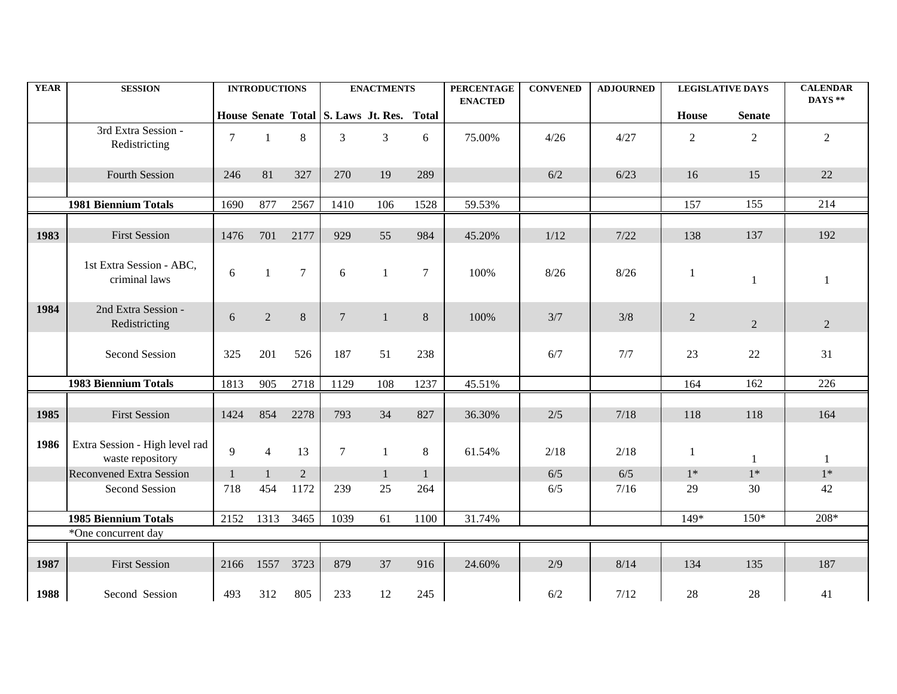| <b>YEAR</b> | <b>SESSION</b>                                     |                | <b>INTRODUCTIONS</b> |                |                | <b>ENACTMENTS</b>                         |              | <b>PERCENTAGE</b><br><b>ENACTED</b> | <b>CONVENED</b> | <b>ADJOURNED</b> | <b>LEGISLATIVE DAYS</b> |                | <b>CALENDAR</b><br>DAYS ** |
|-------------|----------------------------------------------------|----------------|----------------------|----------------|----------------|-------------------------------------------|--------------|-------------------------------------|-----------------|------------------|-------------------------|----------------|----------------------------|
|             |                                                    |                |                      |                |                | House Senate Total S. Laws Jt. Res. Total |              |                                     |                 |                  | House                   | <b>Senate</b>  |                            |
|             | 3rd Extra Session -<br>Redistricting               | $\overline{7}$ | $\mathbf{1}$         | 8              | $\overline{3}$ | 3                                         | 6            | 75.00%                              | 4/26            | 4/27             | $\overline{2}$          | $\overline{2}$ | $\overline{2}$             |
|             | <b>Fourth Session</b>                              | 246            | 81                   | 327            | 270            | 19                                        | 289          |                                     | 6/2             | 6/23             | 16                      | 15             | 22                         |
|             | <b>1981 Biennium Totals</b>                        | 1690           | 877                  | 2567           | 1410           | 106                                       | 1528         | 59.53%                              |                 |                  | 157                     | 155            | 214                        |
| 1983        | <b>First Session</b>                               | 1476           | 701                  | 2177           | 929            | 55                                        | 984          | 45.20%                              | 1/12            | 7/22             | 138                     | 137            | 192                        |
|             | 1st Extra Session - ABC,<br>criminal laws          | 6              | $\mathbf{1}$         | $\overline{7}$ | 6              | $\mathbf{1}$                              | 7            | 100%                                | 8/26            | 8/26             | 1                       | 1              | 1                          |
| 1984        | 2nd Extra Session -<br>Redistricting               | 6              | $\overline{2}$       | $8\,$          | $\overline{7}$ | $\mathbf{1}$                              | 8            | 100%                                | 3/7             | 3/8              | $\overline{2}$          | 2              | $\overline{2}$             |
|             | <b>Second Session</b>                              | 325            | 201                  | 526            | 187            | 51                                        | 238          |                                     | 6/7             | 7/7              | 23                      | 22             | 31                         |
|             | <b>1983 Biennium Totals</b>                        | 1813           | 905                  | 2718           | 1129           | 108                                       | 1237         | 45.51%                              |                 |                  | 164                     | 162            | 226                        |
| 1985        | <b>First Session</b>                               | 1424           | 854                  | 2278           | 793            | 34                                        | 827          | 36.30%                              | 2/5             | 7/18             | 118                     | 118            | 164                        |
| 1986        | Extra Session - High level rad<br>waste repository | 9              | $\overline{4}$       | 13             | $\tau$         | $\mathbf{1}$                              | 8            | 61.54%                              | 2/18            | 2/18             | 1                       | $\mathbf{1}$   | 1                          |
|             | <b>Reconvened Extra Session</b>                    | $\mathbf{1}$   | $\mathbf{1}$         | $\sqrt{2}$     |                | $\mathbf{1}$                              | $\mathbf{1}$ |                                     | $6/5$           | $6/5$            | $1^*$                   | $1*$           | $1*$                       |
|             | <b>Second Session</b>                              | 718            | 454                  | 1172           | 239            | 25                                        | 264          |                                     | 6/5             | 7/16             | 29                      | 30             | 42                         |
|             | <b>1985 Biennium Totals</b>                        | 2152           | 1313                 | 3465           | 1039           | 61                                        | 1100         | 31.74%                              |                 |                  | 149*                    | $150*$         | 208*                       |
|             | *One concurrent day                                |                |                      |                |                |                                           |              |                                     |                 |                  |                         |                |                            |
| 1987        | <b>First Session</b>                               | 2166           | 1557 3723            |                | 879            | 37                                        | 916          | 24.60%                              | 2/9             | 8/14             | 134                     | 135            | 187                        |
| 1988        | Second Session                                     | 493            | 312                  | 805            | 233            | 12                                        | 245          |                                     | 6/2             | 7/12             | 28                      | $28\,$         | 41                         |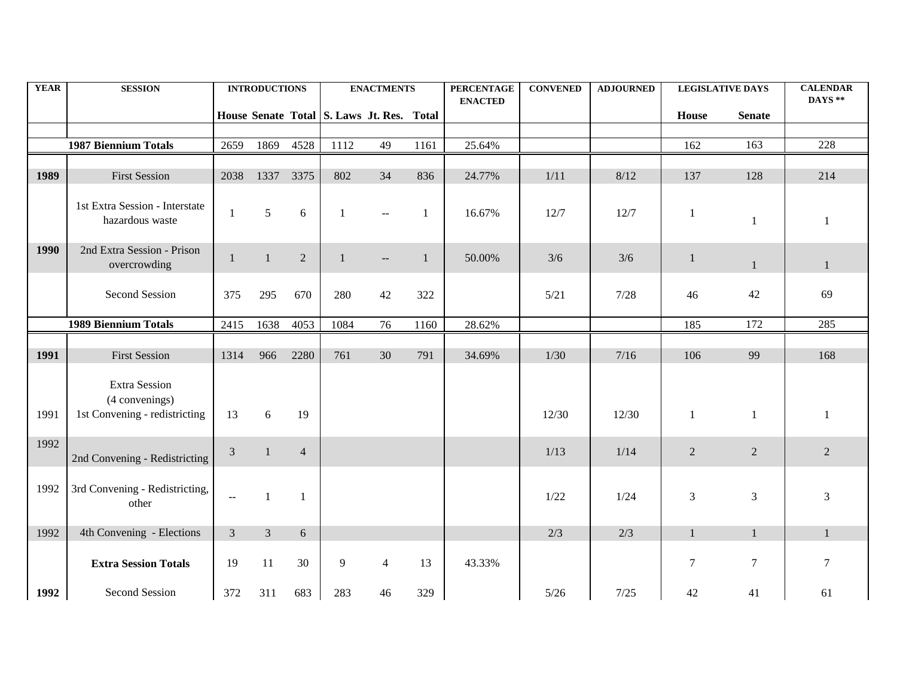| <b>YEAR</b> | <b>SESSION</b>                                                          |                | <b>INTRODUCTIONS</b> |                |                                           | <b>ENACTMENTS</b> |              | <b>PERCENTAGE</b><br><b>ENACTED</b> | <b>CONVENED</b> | <b>ADJOURNED</b> |                | <b>LEGISLATIVE DAYS</b> | <b>CALENDAR</b><br>DAYS ** |
|-------------|-------------------------------------------------------------------------|----------------|----------------------|----------------|-------------------------------------------|-------------------|--------------|-------------------------------------|-----------------|------------------|----------------|-------------------------|----------------------------|
|             |                                                                         |                |                      |                | House Senate Total S. Laws Jt. Res. Total |                   |              |                                     |                 |                  | House          | <b>Senate</b>           |                            |
|             |                                                                         |                |                      |                |                                           |                   |              |                                     |                 |                  |                |                         |                            |
|             | <b>1987 Biennium Totals</b>                                             | 2659           | 1869                 | 4528           | 1112                                      | 49                | 1161         | 25.64%                              |                 |                  | 162            | 163                     | 228                        |
| 1989        | <b>First Session</b>                                                    | 2038           | 1337                 | 3375           | 802                                       | 34                | 836          | 24.77%                              | 1/11            | 8/12             | 137            | 128                     | 214                        |
|             | 1st Extra Session - Interstate<br>hazardous waste                       | 1              | 5                    | 6              | -1                                        |                   | -1           | 16.67%                              | 12/7            | 12/7             | $\mathbf{1}$   | $\mathbf{1}$            | 1                          |
| 1990        | 2nd Extra Session - Prison<br>overcrowding                              | 1              | $\mathbf{1}$         | $\overline{2}$ | $\mathbf{1}$                              | $--$              | $\mathbf{1}$ | 50.00%                              | 3/6             | 3/6              | $\mathbf{1}$   | $\mathbf{1}$            | $\mathbf{1}$               |
|             | Second Session                                                          | 375            | 295                  | 670            | 280                                       | 42                | 322          |                                     | 5/21            | 7/28             | 46             | 42                      | 69                         |
|             | <b>1989 Biennium Totals</b>                                             | 2415           | 1638                 | 4053           | 1084                                      | 76                | 1160         | 28.62%                              |                 |                  | 185            | 172                     | 285                        |
|             |                                                                         |                |                      |                |                                           |                   |              |                                     |                 |                  |                |                         |                            |
| 1991        | <b>First Session</b>                                                    | 1314           | 966                  | 2280           | 761                                       | 30                | 791          | 34.69%                              | $1/30$          | 7/16             | 106            | 99                      | 168                        |
| 1991        | <b>Extra Session</b><br>(4 convenings)<br>1st Convening - redistricting | 13             | 6                    | 19             |                                           |                   |              |                                     | 12/30           | 12/30            | $\mathbf{1}$   | $\mathbf{1}$            | 1                          |
| 1992        | 2nd Convening - Redistricting                                           | 3              | $\overline{1}$       | $\overline{4}$ |                                           |                   |              |                                     | 1/13            | 1/14             | $\overline{2}$ | 2                       | $\overline{2}$             |
| 1992        | 3rd Convening - Redistricting,<br>other                                 | ÷.             | $\mathbf{1}$         | $\mathbf{1}$   |                                           |                   |              |                                     | 1/22            | 1/24             | 3              | 3                       | 3                          |
| 1992        | 4th Convening - Elections                                               | $\overline{3}$ | $\overline{3}$       | 6              |                                           |                   |              |                                     | 2/3             | 2/3              | $\mathbf{1}$   | $\mathbf{1}$            | $\mathbf{1}$               |
|             | <b>Extra Session Totals</b>                                             | 19             | 11                   | 30             | 9                                         | $\overline{4}$    | 13           | 43.33%                              |                 |                  | $\tau$         | $\tau$                  | $\tau$                     |
| 1992        | Second Session                                                          | 372            | 311                  | 683            | 283                                       | 46                | 329          |                                     | $5/26$          | 7/25             | 42             | 41                      | 61                         |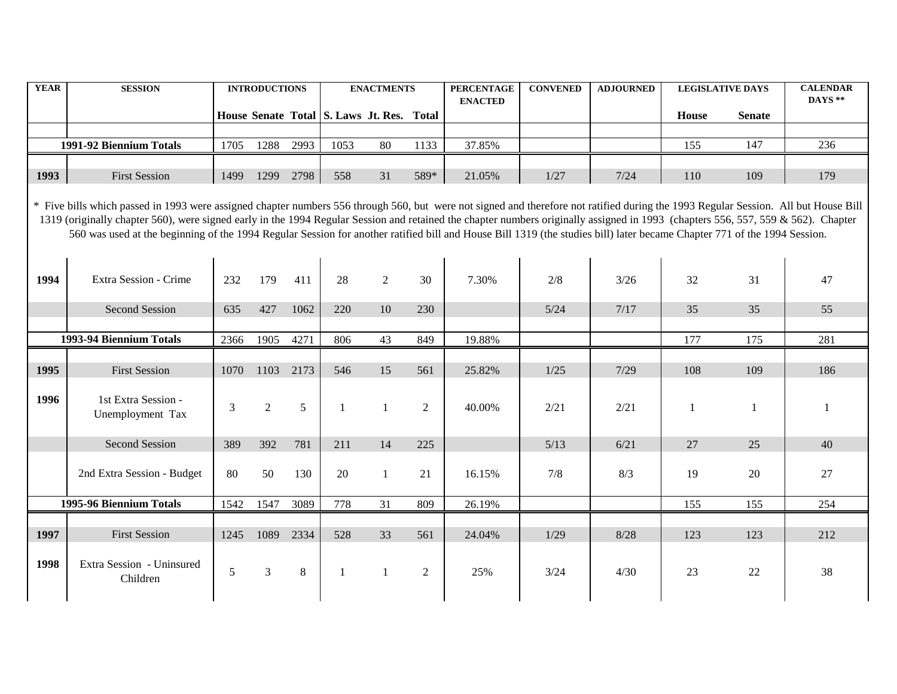| <b>YEAR</b> | <b>SESSION</b>                                                                                                                                                                                                                                                                                                                                                                                                                                                                                                                                       |      | <b>INTRODUCTIONS</b> |           |                                           | <b>ENACTMENTS</b> |                | <b>PERCENTAGE</b><br><b>ENACTED</b> | <b>CONVENED</b> | <b>ADJOURNED</b> |              | <b>LEGISLATIVE DAYS</b> | <b>CALENDAR</b><br>DAYS ** |
|-------------|------------------------------------------------------------------------------------------------------------------------------------------------------------------------------------------------------------------------------------------------------------------------------------------------------------------------------------------------------------------------------------------------------------------------------------------------------------------------------------------------------------------------------------------------------|------|----------------------|-----------|-------------------------------------------|-------------------|----------------|-------------------------------------|-----------------|------------------|--------------|-------------------------|----------------------------|
|             |                                                                                                                                                                                                                                                                                                                                                                                                                                                                                                                                                      |      |                      |           | House Senate Total S. Laws Jt. Res. Total |                   |                |                                     |                 |                  | <b>House</b> | <b>Senate</b>           |                            |
|             | 1991-92 Biennium Totals                                                                                                                                                                                                                                                                                                                                                                                                                                                                                                                              | 1705 | 1288                 | 2993      | 1053                                      | 80                | 1133           | 37.85%                              |                 |                  | 155          | 147                     | 236                        |
| 1993        | <b>First Session</b>                                                                                                                                                                                                                                                                                                                                                                                                                                                                                                                                 | 1499 | 1299                 | 2798      | 558                                       | 31                | 589*           | 21.05%                              | 1/27            | 7/24             | 110          | 109                     | 179                        |
|             | * Five bills which passed in 1993 were assigned chapter numbers 556 through 560, but were not signed and therefore not ratified during the 1993 Regular Session. All but House Bill<br>1319 (originally chapter 560), were signed early in the 1994 Regular Session and retained the chapter numbers originally assigned in 1993 (chapters 556, 557, 559 & 562). Chapter<br>560 was used at the beginning of the 1994 Regular Session for another ratified bill and House Bill 1319 (the studies bill) later became Chapter 771 of the 1994 Session. |      |                      |           |                                           |                   |                |                                     |                 |                  |              |                         |                            |
| 1994        | Extra Session - Crime                                                                                                                                                                                                                                                                                                                                                                                                                                                                                                                                | 232  | 179                  | 411       | 28                                        | 2                 | 30             | 7.30%                               | 2/8             | $3/26$           | 32           | 31                      | 47                         |
|             | Second Session                                                                                                                                                                                                                                                                                                                                                                                                                                                                                                                                       | 635  | 427                  | 1062      | 220                                       | 10                | 230            |                                     | $5/24$          | 7/17             | 35           | 35                      | 55                         |
|             | 1993-94 Biennium Totals                                                                                                                                                                                                                                                                                                                                                                                                                                                                                                                              |      | 1905                 | 4271      | 806                                       | 43                | 849            | 19.88%                              |                 |                  | 177          | 175                     | 281                        |
| 1995        | <b>First Session</b>                                                                                                                                                                                                                                                                                                                                                                                                                                                                                                                                 | 1070 |                      | 1103 2173 | 546                                       | 15                | 561            | 25.82%                              | 1/25            | 7/29             | 108          | 109                     | 186                        |
| 1996        | 1st Extra Session -<br>Unemployment Tax                                                                                                                                                                                                                                                                                                                                                                                                                                                                                                              | 3    | $\overline{2}$       | 5         | $\mathbf{1}$                              | $\mathbf{1}$      | 2              | 40.00%                              | 2/21            | 2/21             | $\mathbf{1}$ | -1                      | 1                          |
|             | Second Session                                                                                                                                                                                                                                                                                                                                                                                                                                                                                                                                       | 389  | 392                  | 781       | 211                                       | 14                | 225            |                                     | 5/13            | 6/21             | 27           | 25                      | 40                         |
|             | 2nd Extra Session - Budget                                                                                                                                                                                                                                                                                                                                                                                                                                                                                                                           | 80   | 50                   | 130       | 20                                        | $\overline{1}$    | 21             | 16.15%                              | 7/8             | 8/3              | 19           | 20                      | 27                         |
|             | 1995-96 Biennium Totals                                                                                                                                                                                                                                                                                                                                                                                                                                                                                                                              | 1542 | 1547                 | 3089      | 778                                       | 31                | 809            | 26.19%                              |                 |                  | 155          | 155                     | 254                        |
| 1997        | <b>First Session</b>                                                                                                                                                                                                                                                                                                                                                                                                                                                                                                                                 | 1245 | 1089                 | 2334      | 528                                       | 33                | 561            | 24.04%                              | 1/29            | 8/28             | 123          | 123                     | 212                        |
| 1998        | Extra Session - Uninsured<br>Children                                                                                                                                                                                                                                                                                                                                                                                                                                                                                                                | 5    | $\mathfrak{Z}$       | 8         | $\mathbf{1}$                              | $\overline{1}$    | $\overline{2}$ | 25%                                 | 3/24            | 4/30             | 23           | $22\,$                  | 38                         |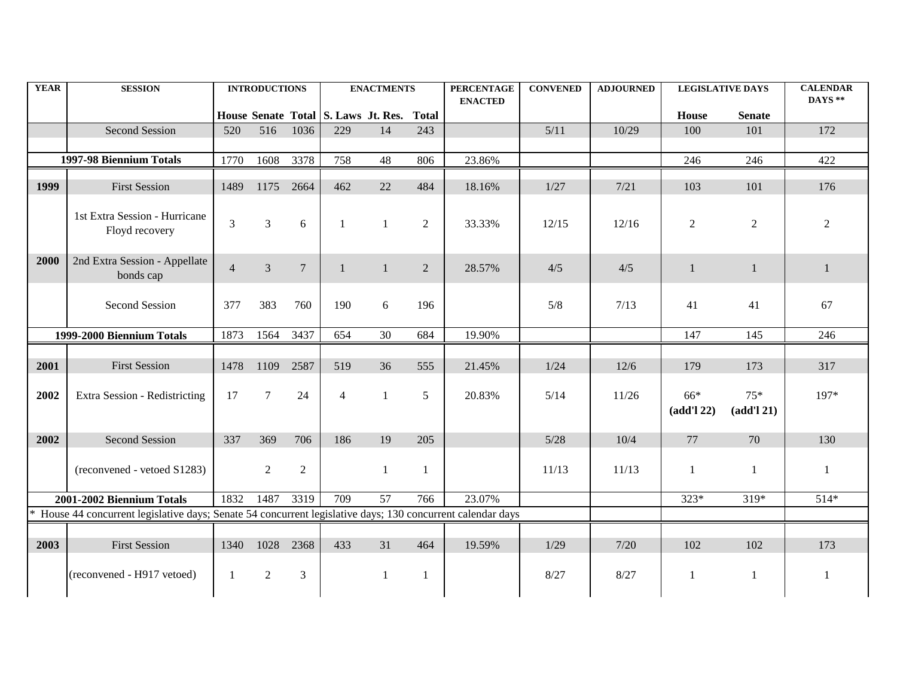| <b>YEAR</b> | <b>SESSION</b>                                                                                              |                | <b>INTRODUCTIONS</b> |                |                                           | <b>ENACTMENTS</b> |                | <b>PERCENTAGE</b><br><b>ENACTED</b> | <b>CONVENED</b> | <b>ADJOURNED</b> |                   | <b>LEGISLATIVE DAYS</b> | <b>CALENDAR</b><br>DAYS** |
|-------------|-------------------------------------------------------------------------------------------------------------|----------------|----------------------|----------------|-------------------------------------------|-------------------|----------------|-------------------------------------|-----------------|------------------|-------------------|-------------------------|---------------------------|
|             |                                                                                                             |                |                      |                | House Senate Total S. Laws Jt. Res. Total |                   |                |                                     |                 |                  | House             | <b>Senate</b>           |                           |
|             | Second Session                                                                                              | 520            |                      | 516 1036       | 229                                       | 14                | 243            |                                     | 5/11            | 10/29            | 100               | 101                     | 172                       |
|             | 1997-98 Biennium Totals                                                                                     | 1770           | 1608                 | 3378           | 758                                       | 48                | 806            | 23.86%                              |                 |                  | 246               | 246                     | 422                       |
| 1999        | <b>First Session</b>                                                                                        | 1489           | 1175                 | 2664           | 462                                       | 22                | 484            | 18.16%                              | 1/27            | 7/21             | 103               | 101                     | 176                       |
|             | 1st Extra Session - Hurricane<br>Floyd recovery                                                             | 3              | 3                    | 6              | $\mathbf{1}$                              | $\mathbf{1}$      | $\overline{2}$ | 33.33%                              | 12/15           | 12/16            | 2                 | 2                       | $\overline{2}$            |
| 2000        | 2nd Extra Session - Appellate<br>bonds cap                                                                  | $\overline{4}$ | $\mathfrak{Z}$       | $\overline{7}$ | $\mathbf{1}$                              | $\mathbf{1}$      | 2              | 28.57%                              | 4/5             | 4/5              | 1                 | 1                       | 1                         |
|             | Second Session                                                                                              | 377            | 383                  | 760            | 190                                       | 6                 | 196            |                                     | 5/8             | 7/13             | 41                | 41                      | 67                        |
|             | 1999-2000 Biennium Totals                                                                                   |                | 1564                 | 3437           | 654                                       | 30                | 684            | 19.90%                              |                 |                  | 147               | 145                     | 246                       |
| 2001        | <b>First Session</b>                                                                                        | 1478           | 1109                 | 2587           | 519                                       | 36                | 555            | 21.45%                              | 1/24            | $12/6$           | 179               | 173                     | 317                       |
| 2002        | Extra Session - Redistricting                                                                               | 17             | $\overline{7}$       | 24             | $\overline{4}$                            | 1                 | 5              | 20.83%                              | 5/14            | 11/26            | 66*<br>(add'l 22) | $75*$<br>(add'l 21)     | 197*                      |
| 2002        | Second Session                                                                                              | 337            | 369                  | 706            | 186                                       | 19                | 205            |                                     | $5/28$          | 10/4             | 77                | 70                      | 130                       |
|             | (reconvened - vetoed S1283)                                                                                 |                | 2                    | $\overline{2}$ |                                           | $\mathbf{1}$      | -1             |                                     | 11/13           | 11/13            | -1                | 1                       | 1                         |
|             | 2001-2002 Biennium Totals                                                                                   |                | 1832 1487            | 3319           | 709                                       | 57                | 766            | 23.07%                              |                 |                  | $323*$            | 319*                    | $514*$                    |
|             | * House 44 concurrent legislative days; Senate 54 concurrent legislative days; 130 concurrent calendar days |                |                      |                |                                           |                   |                |                                     |                 |                  |                   |                         |                           |
| 2003        | <b>First Session</b>                                                                                        | 1340           | 1028                 | 2368           | 433                                       | 31                | 464            | 19.59%                              | 1/29            | 7/20             | 102               | 102                     | 173                       |
|             | (reconvened - H917 vetoed)                                                                                  | $\overline{1}$ | 2                    | 3              |                                           | $\mathbf{1}$      | -1             |                                     | 8/27            | 8/27             | $\mathbf{1}$      | 1                       | 1                         |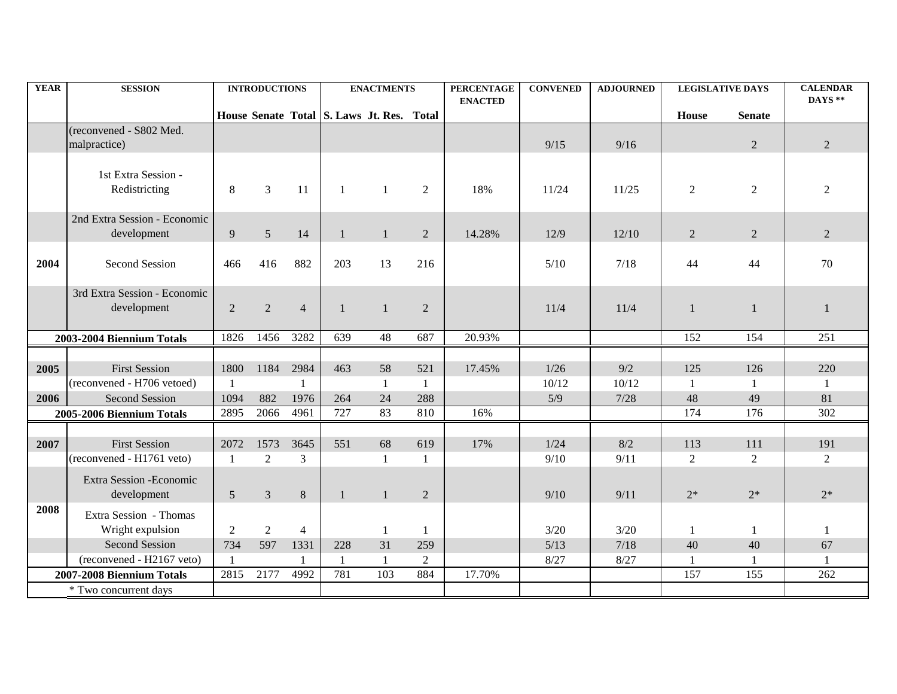| <b>YEAR</b>  | <b>SESSION</b>                                                              |                      | <b>INTRODUCTIONS</b>   |                        |                                           | <b>ENACTMENTS</b>        |                            | <b>PERCENTAGE</b><br><b>ENACTED</b> | <b>CONVENED</b>      | <b>ADJOURNED</b>     | <b>LEGISLATIVE DAYS</b>   |                           | <b>CALENDAR</b><br>DAYS ** |
|--------------|-----------------------------------------------------------------------------|----------------------|------------------------|------------------------|-------------------------------------------|--------------------------|----------------------------|-------------------------------------|----------------------|----------------------|---------------------------|---------------------------|----------------------------|
|              |                                                                             |                      |                        |                        | House Senate Total S. Laws Jt. Res. Total |                          |                            |                                     |                      |                      | House                     | <b>Senate</b>             |                            |
|              | (reconvened - S802 Med.<br>malpractice)                                     |                      |                        |                        |                                           |                          |                            |                                     | 9/15                 | 9/16                 |                           | $\overline{2}$            | $\overline{2}$             |
|              | 1st Extra Session -<br>Redistricting                                        | 8                    | 3                      | 11                     | -1                                        | $\overline{1}$           | 2                          | 18%                                 | 11/24                | 11/25                | $\overline{2}$            | $\overline{2}$            | 2                          |
|              | 2nd Extra Session - Economic<br>development                                 | 9                    | $\overline{5}$         | 14                     |                                           | $\mathbf{1}$             | 2                          | 14.28%                              | 12/9                 | 12/10                | $\overline{2}$            | 2                         | $\overline{2}$             |
| 2004         | <b>Second Session</b>                                                       | 466                  | 416                    | 882                    | 203                                       | 13                       | 216                        |                                     | 5/10                 | 7/18                 | 44                        | 44                        | 70                         |
|              | 3rd Extra Session - Economic<br>development                                 | $\overline{2}$       | 2                      | $\overline{4}$         |                                           | $\overline{1}$           | 2                          |                                     | 11/4                 | 11/4                 | $\mathbf{1}$              | $\mathbf{1}$              | 1                          |
|              | 2003-2004 Biennium Totals                                                   | 1826                 | 1456                   | 3282                   | 639                                       | 48                       | 687                        | 20.93%                              |                      |                      | 152                       | 154                       | 251                        |
| 2005<br>2006 | <b>First Session</b><br>(reconvened - H706 vetoed)<br><b>Second Session</b> | 1800<br>1094         | 1184<br>882            | 2984<br>1976           | 463<br>264                                | 58<br>$\mathbf{1}$<br>24 | 521<br>$\mathbf{1}$<br>288 | 17.45%                              | 1/26<br>10/12<br>5/9 | 9/2<br>10/12<br>7/28 | 125<br>$\mathbf{1}$<br>48 | 126<br>$\mathbf{1}$<br>49 | 220<br>1<br>81             |
|              | 2005-2006 Biennium Totals                                                   | 2895                 | 2066                   | 4961                   | 727                                       | 83                       | 810                        | 16%                                 |                      |                      | 174                       | 176                       | $\overline{302}$           |
| 2007         | <b>First Session</b><br>(reconvened - H1761 veto)                           | 2072<br>$\mathbf{1}$ | 1573<br>$\overline{2}$ | 3645<br>$\overline{3}$ | 551                                       | 68<br>$\mathbf{1}$       | 619<br>$\mathbf{1}$        | 17%                                 | 1/24<br>9/10         | 8/2<br>9/11          | 113<br>$\overline{2}$     | 111<br>2                  | 191<br>2                   |
| 2008         | Extra Session - Economic<br>development                                     | 5                    | 3                      | $\,8\,$                |                                           | $\mathbf{1}$             | 2                          |                                     | 9/10                 | 9/11                 | $2*$                      | $2*$                      | $2*$                       |
|              | Extra Session - Thomas<br>Wright expulsion                                  | $\overline{2}$       | 2                      | $\overline{4}$         |                                           | 1                        | $\mathbf{1}$               |                                     | $3/20$               | $3/20$               | 1                         | 1                         | 1                          |
|              | <b>Second Session</b><br>(reconvened - H2167 veto)                          | 734<br>$\mathbf{1}$  | 597                    | 1331<br>$\mathbf{1}$   | 228                                       | 31<br>-1                 | 259<br>$\overline{2}$      |                                     | $5/13$<br>8/27       | 7/18<br>8/27         | 40                        | 40<br>1                   | 67                         |
|              | 2007-2008 Biennium Totals                                                   | 2815                 | 2177                   | 4992                   | 781                                       | 103                      | 884                        | 17.70%                              |                      |                      | 157                       | 155                       | 262                        |
|              | * Two concurrent days                                                       |                      |                        |                        |                                           |                          |                            |                                     |                      |                      |                           |                           |                            |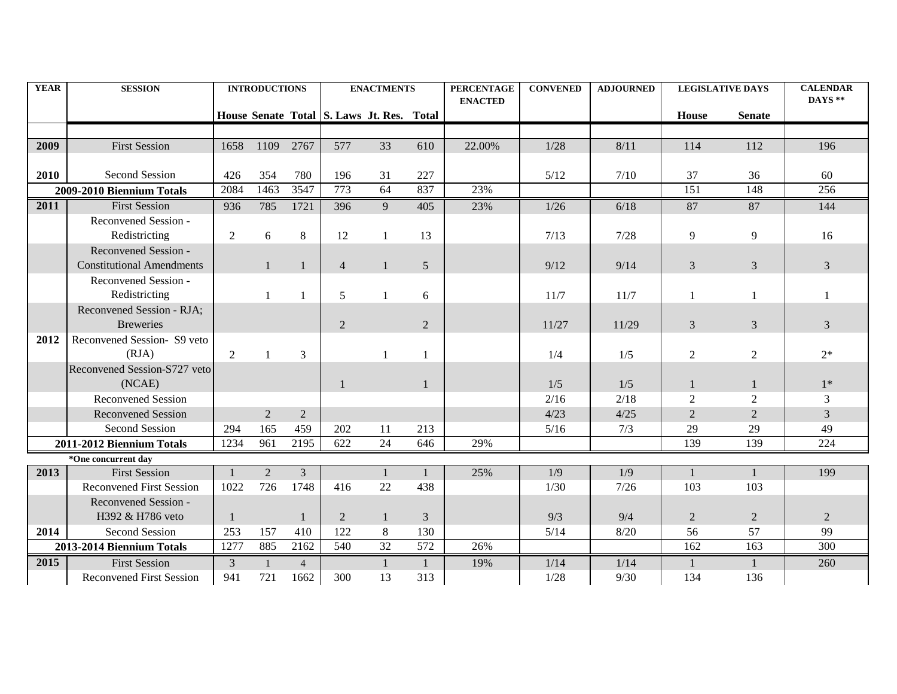| <b>YEAR</b> | <b>SESSION</b>                   |                | <b>INTRODUCTIONS</b> |                | <b>ENACTMENTS</b>                         |    | <b>PERCENTAGE</b> | <b>CONVENED</b> | <b>ADJOURNED</b> | <b>LEGISLATIVE DAYS</b> |                | <b>CALENDAR</b><br>DAYS ** |                |
|-------------|----------------------------------|----------------|----------------------|----------------|-------------------------------------------|----|-------------------|-----------------|------------------|-------------------------|----------------|----------------------------|----------------|
|             |                                  |                |                      |                | House Senate Total S. Laws Jt. Res. Total |    |                   | <b>ENACTED</b>  |                  |                         | <b>House</b>   | <b>Senate</b>              |                |
|             |                                  |                |                      |                |                                           |    |                   |                 |                  |                         |                |                            |                |
| 2009        | <b>First Session</b>             | 1658           | 1109 2767            |                | 577                                       | 33 | 610               | 22.00%          | $1/28$           | 8/11                    | 114            | 112                        | 196            |
|             |                                  |                |                      |                |                                           |    |                   |                 |                  |                         |                |                            |                |
| 2010        | Second Session                   | 426            | 354                  | 780            | 196                                       | 31 | 227               |                 | 5/12             | 7/10                    | 37             | 36                         | 60             |
|             | 2009-2010 Biennium Totals        | 2084           | 1463                 | 3547           | 773                                       | 64 | 837               | 23%             |                  |                         | 151            | 148                        | 256            |
| 2011        | <b>First Session</b>             | 936            | 785                  | 1721           | 396                                       | 9  | 405               | 23%             | $1/26$           | 6/18                    | 87             | 87                         | 144            |
|             | Reconvened Session -             |                |                      |                |                                           |    |                   |                 |                  |                         |                |                            |                |
|             | Redistricting                    | $\overline{2}$ | 6                    | 8              | 12                                        |    | 13                |                 | 7/13             | 7/28                    | 9              | 9                          | 16             |
|             | Reconvened Session -             |                |                      |                |                                           |    |                   |                 |                  |                         |                |                            |                |
|             | <b>Constitutional Amendments</b> |                | $\mathbf{1}$         | $\mathbf{1}$   | $\overline{4}$                            |    | $5\overline{)}$   |                 | 9/12             | 9/14                    | 3              | $\mathfrak{Z}$             | $\mathfrak{Z}$ |
|             | Reconvened Session -             |                |                      |                |                                           |    |                   |                 |                  |                         |                |                            |                |
|             | Redistricting                    |                |                      | 1              | 5                                         |    | 6                 |                 | 11/7             | 11/7                    |                |                            |                |
|             | Reconvened Session - RJA;        |                |                      |                |                                           |    |                   |                 |                  |                         |                |                            |                |
|             | <b>Breweries</b>                 |                |                      |                | 2                                         |    | 2                 |                 | 11/27            | 11/29                   | 3              | 3                          | 3              |
| 2012        | Reconvened Session- S9 veto      |                |                      |                |                                           |    |                   |                 |                  |                         |                |                            |                |
|             | (RJA)                            | 2              |                      | 3              |                                           |    | 1                 |                 | 1/4              | 1/5                     | $\overline{2}$ | 2                          | $2*$           |
|             | Reconvened Session-S727 veto     |                |                      |                |                                           |    |                   |                 |                  |                         |                |                            |                |
|             | (NCAE)                           |                |                      |                |                                           |    | $\mathbf{1}$      |                 | 1/5              | 1/5                     | 1              |                            | $1*$           |
|             | <b>Reconvened Session</b>        |                |                      |                |                                           |    |                   |                 | 2/16             | 2/18                    | $\overline{2}$ | 2                          | 3              |
|             | <b>Reconvened Session</b>        |                | $\overline{2}$       | 2              |                                           |    |                   |                 | 4/23             | 4/25                    | 2              | $\overline{2}$             | $\overline{3}$ |
|             | Second Session                   | 294            | 165                  | 459            | 202                                       | 11 | 213               |                 | 5/16             | 7/3                     | 29             | 29                         | 49             |
|             | 2011-2012 Biennium Totals        | 1234           | 961                  | 2195           | 622                                       | 24 | 646               | 29%             |                  |                         | 139            | 139                        | 224            |
|             | *One concurrent day              |                |                      |                |                                           |    |                   |                 |                  |                         |                |                            |                |
| 2013        | <b>First Session</b>             |                | $\overline{2}$       | $\mathfrak{Z}$ |                                           | 1  | $\mathbf{1}$      | 25%             | 1/9              | 1/9                     | 1              | $\mathbf{1}$               | 199            |
|             | <b>Reconvened First Session</b>  | 1022           | 726                  | 1748           | 416                                       | 22 | 438               |                 | 1/30             | 7/26                    | 103            | 103                        |                |
|             | Reconvened Session -             |                |                      |                |                                           |    |                   |                 |                  |                         |                |                            |                |
|             | H392 & H786 veto                 | $\mathbf{1}$   |                      | $\mathbf{1}$   | $\overline{2}$                            | 1  | $\mathfrak{Z}$    |                 | 9/3              | 9/4                     | $\overline{2}$ | $\overline{2}$             | $\overline{2}$ |
| 2014        | Second Session                   | 253            | 157                  | 410            | 122                                       | 8  | 130               |                 | 5/14             | 8/20                    | 56             | 57                         | 99             |
|             | 2013-2014 Biennium Totals        | 1277           | 885                  | 2162           | 540                                       | 32 | 572               | 26%             |                  |                         | 162            | 163                        | 300            |
| 2015        | <b>First Session</b>             | 3              | $\mathbf{1}$         | $\overline{4}$ |                                           | 1  | $\mathbf{1}$      | 19%             | 1/14             | 1/14                    | $\mathbf{1}$   | $\mathbf{1}$               | 260            |
|             | <b>Reconvened First Session</b>  | 941            | 721                  | 1662           | 300                                       | 13 | 313               |                 | $1/28$           | 9/30                    | 134            | 136                        |                |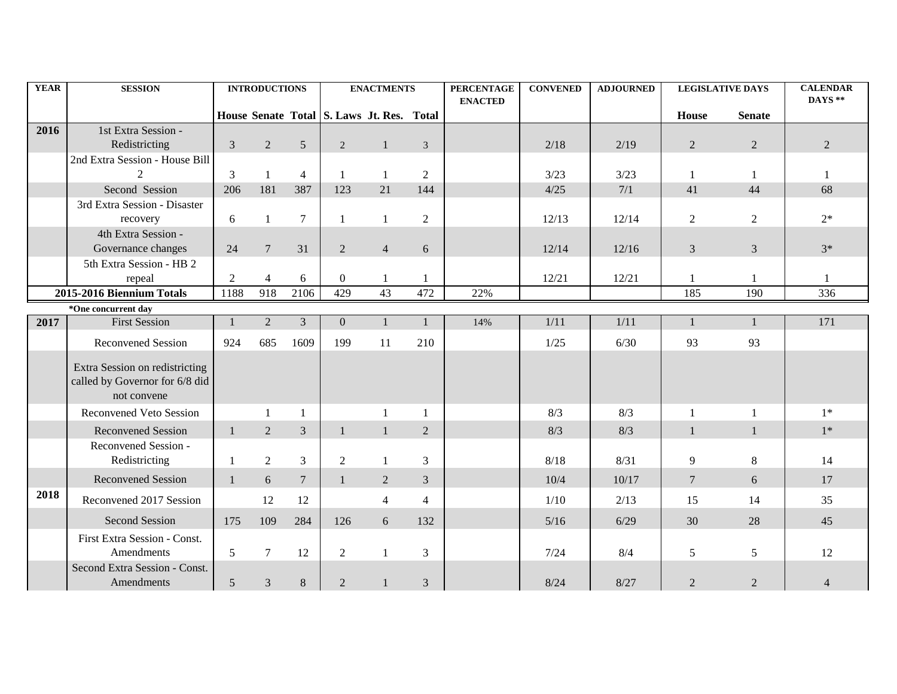| <b>YEAR</b> | <b>SESSION</b>                                                   |                | <b>INTRODUCTIONS</b> |                  |                                           | <b>ENACTMENTS</b> |                             | <b>PERCENTAGE</b><br><b>ENACTED</b> | <b>CONVENED</b> | <b>ADJOURNED</b> |                | <b>LEGISLATIVE DAYS</b> | <b>CALENDAR</b><br>DAYS ** |
|-------------|------------------------------------------------------------------|----------------|----------------------|------------------|-------------------------------------------|-------------------|-----------------------------|-------------------------------------|-----------------|------------------|----------------|-------------------------|----------------------------|
|             |                                                                  |                |                      |                  | House Senate Total S. Laws Jt. Res. Total |                   |                             |                                     |                 |                  | House          | <b>Senate</b>           |                            |
| 2016        | 1st Extra Session -                                              |                |                      |                  |                                           |                   |                             |                                     |                 |                  |                |                         |                            |
|             | Redistricting                                                    | $\mathfrak{Z}$ | 2                    | 5                | 2                                         | $\mathbf{1}$      | 3                           |                                     | 2/18            | 2/19             | $\overline{2}$ | 2                       | $\overline{2}$             |
|             | 2nd Extra Session - House Bill                                   |                |                      |                  |                                           |                   |                             |                                     |                 |                  |                |                         |                            |
|             |                                                                  | $\overline{3}$ | $\mathbf{1}$         | $\overline{4}$   | $\mathbf{1}$                              |                   | $\overline{2}$              |                                     | 3/23            | 3/23             | 1              |                         |                            |
|             | Second Session                                                   | 206            | 181                  | 387              | 123                                       | 21                | 144                         |                                     | 4/25            | 7/1              | 41             | 44                      | 68                         |
|             | 3rd Extra Session - Disaster                                     |                |                      |                  |                                           |                   |                             |                                     |                 |                  |                |                         |                            |
|             | recovery                                                         | 6              | 1                    | $\boldsymbol{7}$ | 1                                         | -1                | $\overline{2}$              |                                     | 12/13           | 12/14            | $\overline{2}$ | $\overline{2}$          | $2*$                       |
|             | 4th Extra Session -                                              |                |                      |                  |                                           |                   |                             |                                     |                 |                  |                |                         |                            |
|             | Governance changes                                               | 24             | $\overline{7}$       | 31               | $\overline{2}$                            | $\overline{4}$    | 6                           |                                     | 12/14           | 12/16            | 3              | $\mathfrak{Z}$          | $3*$                       |
|             | 5th Extra Session - HB 2                                         |                |                      |                  |                                           |                   |                             |                                     |                 |                  |                |                         |                            |
|             | repeal                                                           | $\overline{2}$ | $\overline{4}$       | $6\,$            | $\overline{0}$                            | -1                | $\mathbf{1}$                |                                     | 12/21           | 12/21            | $\mathbf{1}$   | $\mathbf{1}$            |                            |
|             | 2015-2016 Biennium Totals                                        | 1188           | 918                  | 2106             | 429                                       | 43                | 472                         | 22%                                 |                 |                  | 185            | 190                     | 336                        |
| 2017        | *One concurrent day<br><b>First Session</b>                      | $\mathbf{1}$   | $\overline{2}$       | $\mathfrak{Z}$   | $\overline{0}$                            | $\mathbf{1}$      | $\mathbf{1}$                | 14%                                 | 1/11            | $1/11$           | $\mathbf{1}$   | $\mathbf{1}$            | 171                        |
|             |                                                                  |                |                      |                  |                                           |                   |                             |                                     |                 |                  |                |                         |                            |
|             | <b>Reconvened Session</b>                                        | 924            | 685                  | 1609             | 199                                       | 11                | 210                         |                                     | 1/25            | 6/30             | 93             | 93                      |                            |
|             | Extra Session on redistricting<br>called by Governor for 6/8 did |                |                      |                  |                                           |                   |                             |                                     |                 |                  |                |                         |                            |
|             | not convene                                                      |                |                      |                  |                                           |                   |                             |                                     |                 |                  |                |                         |                            |
|             | <b>Reconvened Veto Session</b>                                   |                | $\mathbf{1}$         | $\mathbf{1}$     |                                           | $\mathbf{1}$      | $\mathbf{1}$                |                                     | 8/3             | 8/3              | $\mathbf{1}$   | $\mathbf{1}$            | $1*$                       |
|             | <b>Reconvened Session</b>                                        | $\mathbf{1}$   | $\overline{2}$       | $\mathfrak{Z}$   | $\mathbf{1}$                              | $\mathbf{1}$      | $\overline{2}$              |                                     | 8/3             | 8/3              | $\mathbf{1}$   | $\mathbf{1}$            | $1*$                       |
|             | Reconvened Session -                                             |                |                      |                  |                                           |                   |                             |                                     |                 |                  |                |                         |                            |
|             | Redistricting                                                    | $\mathbf{1}$   | $\overline{2}$       | $\mathfrak{Z}$   | $\overline{2}$                            |                   | 3                           |                                     | 8/18            | 8/31             | 9              | $\,8\,$                 | 14                         |
|             | <b>Reconvened Session</b>                                        | $\mathbf{1}$   | 6                    | $\overline{7}$   | $\mathbf{1}$                              | $\overline{2}$    | 3                           |                                     | 10/4            | 10/17            | $\overline{7}$ | 6                       | 17                         |
| 2018        | Reconvened 2017 Session                                          |                | 12                   | 12               |                                           | $\overline{4}$    | 4                           |                                     | 1/10            | 2/13             | 15             | 14                      | 35                         |
|             | <b>Second Session</b>                                            | 175            | 109                  | 284              | 126                                       | 6                 | 132                         |                                     | 5/16            | 6/29             | 30             | 28                      | 45                         |
|             | First Extra Session - Const.                                     |                |                      |                  |                                           |                   |                             |                                     |                 |                  |                |                         |                            |
|             | Amendments                                                       | $\mathfrak{S}$ | $\tau$               | 12               | $\overline{2}$                            |                   | 3                           |                                     | 7/24            | 8/4              | 5              | 5                       | 12                         |
|             | Second Extra Session - Const.<br>Amendments                      | $5\,$          | $\mathfrak{Z}$       | $8\,$            | $\sqrt{2}$                                | $\mathbf{1}$      | $\ensuremath{\mathfrak{Z}}$ |                                     | 8/24            | 8/27             | $\overline{2}$ | $\sqrt{2}$              | 4                          |